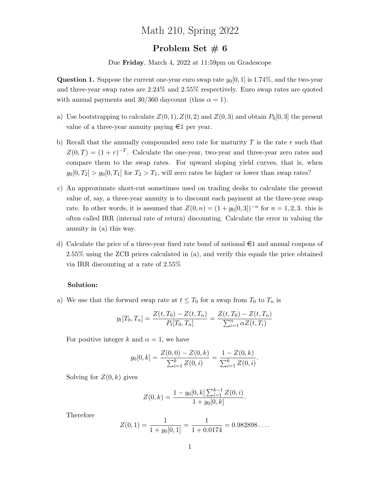## Math 210, Spring 2022

## Problem Set  $\# 6$

Due Friday, March 4, 2022 at 11:59pm on Gradescope

**Question 1.** Suppose the current one-year euro swap rate  $y_0[0, 1]$  is 1.74%, and the two-year and three-year swap rates are 2.24% and 2.55% respectively. Euro swap rates are quoted with annual payments and 30/360 daycount (thus  $\alpha = 1$ ).

- a) Use bootstrapping to calculate  $Z(0, 1), Z(0, 2)$  and  $Z(0, 3)$  and obtain  $P_0[0, 3]$  the present value of a three-year annuity paying  $\epsilon$ 1 per year.
- b) Recall that the annually compounded zero rate for maturity  $T$  is the rate  $r$  such that  $Z(0,T) = (1+r)^{-T}$ . Calculate the one-year, two-year and three-year zero rates and compare them to the swap rates. For upward sloping yield curves, that is, when  $y_0[0, T_2] > y_0[0, T_1]$  for  $T_2 > T_1$ , will zero rates be higher or lower than swap rates?
- c) An approximate short-cut sometimes used on trading desks to calculate the present value of, say, a three-year annuity is to discount each payment at the three-year swap rate. In other words, it is assumed that  $Z(0, n) = (1 + y_0[0, 3])^{-n}$  for  $n = 1, 2, 3$ . this is often called IRR (internal rate of return) discounting. Calculate the error in valuing the annuity in (a) this way.
- d) Calculate the price of a three-year fixed rate bond of notional  $\epsilon$ 1 and annual coupons of 2.55% using the ZCB prices calculated in (a), and verify this equals the price obtained via IRR discounting at a rate of 2.55%

## Solution:

a) We use that the forward swap rate at  $t \leq T_0$  for a swap from  $T_0$  to  $T_n$  is

$$
y_t[T_0, T_n] = \frac{Z(t, T_0) - Z(t, T_n)}{P_t[T_0, T_n]} = \frac{Z(t, T_0) - Z(t, T_n)}{\sum_{i=1}^n \alpha Z(t, T_i)}
$$

For positive integer k and  $\alpha = 1$ , we have

$$
y_0[0,k] = \frac{Z(0,0) - Z(0,k)}{\sum_{i=1}^k Z(0,i)} = \frac{1 - Z(0,k)}{\sum_{i=1}^k Z(0,i)}.
$$

Solving for  $Z(0, k)$  gives

$$
Z(0,k) = \frac{1 - y_0[0,k] \sum_{i=1}^{k-1} Z(0,i)}{1 + y_0[0,k]}.
$$

Therefore

$$
Z(0, 1) = \frac{1}{1 + y_0[0, 1]} = \frac{1}{1 + 0.0174} = 0.982898\dots.
$$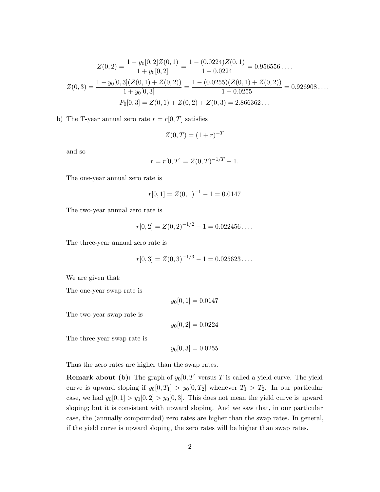$$
Z(0,3) = \frac{1 - y_0[0,2]Z(0,1)}{1 + y_0[0,2]} = \frac{1 - (0.0224)Z(0,1)}{1 + 0.0224} = 0.956556\ldots
$$

$$
Z(0,3) = \frac{1 - y_0[0,3](Z(0,1) + Z(0,2))}{1 + y_0[0,3]} = \frac{1 - (0.0255)(Z(0,1) + Z(0,2))}{1 + 0.0255} = 0.926908\ldots
$$

$$
P_0[0,3] = Z(0,1) + Z(0,2) + Z(0,3) = 2.866362\ldots
$$

b) The T-year annual zero rate  $r = r[0, T]$  satisfies

$$
Z(0,T) = (1+r)^{-T}
$$

and so

$$
r = r[0, T] = Z(0, T)^{-1/T} - 1.
$$

The one-year annual zero rate is

$$
r[0,1] = Z(0,1)^{-1} - 1 = 0.0147
$$

The two-year annual zero rate is

$$
r[0,2] = Z(0,2)^{-1/2} - 1 = 0.022456...
$$

The three-year annual zero rate is

$$
r[0,3] = Z(0,3)^{-1/3} - 1 = 0.025623\dots.
$$

We are given that:

The one-year swap rate is

 $y_0[0, 1] = 0.0147$ 

The two-year swap rate is

 $y_0[0, 2] = 0.0224$ 

The three-year swap rate is

 $y_0[0, 3] = 0.0255$ 

Thus the zero rates are higher than the swap rates.

**Remark about (b):** The graph of  $y_0[0,T]$  versus T is called a yield curve. The yield curve is upward sloping if  $y_0[0, T_1] > y_0[0, T_2]$  whenever  $T_1 > T_2$ . In our particular case, we had  $y_0[0, 1] > y_0[0, 2] > y_0[0, 3]$ . This does not mean the yield curve is upward sloping; but it is consistent with upward sloping. And we saw that, in our particular case, the (annually compounded) zero rates are higher than the swap rates. In general, if the yield curve is upward sloping, the zero rates will be higher than swap rates.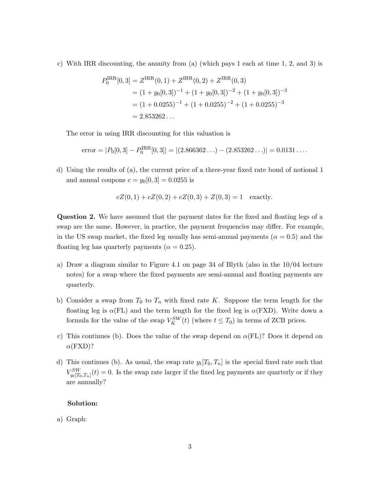c) With IRR discounting, the annuity from (a) (which pays 1 each at time 1, 2, and 3) is

$$
P_0^{\text{IRR}}[0,3] = Z^{\text{IRR}}(0,1) + Z^{\text{IRR}}(0,2) + Z^{\text{IRR}}(0,3)
$$
  
=  $(1 + y_0[0,3])^{-1} + (1 + y_0[0,3])^{-2} + (1 + y_0[0,3])^{-3}$   
=  $(1 + 0.0255)^{-1} + (1 + 0.0255)^{-2} + (1 + 0.0255)^{-3}$   
=  $2.853262...$ 

The error in using IRR discounting for this valuation is

error = 
$$
|P_0[0,3] - P_0^{\text{IRR}}[0,3]| = |(2.866362...) - (2.853262...)| = 0.0131...
$$

d) Using the results of (a), the current price of a three-year fixed rate bond of notional 1 and annual coupons  $c = y_0[0, 3] = 0.0255$  is

$$
cZ(0,1) + cZ(0,2) + cZ(0,3) + Z(0,3) = 1
$$
 exactly.

Question 2. We have assumed that the payment dates for the fixed and floating legs of a swap are the same. However, in practice, the payment frequencies may differ. For example, in the US swap market, the fixed leg usually has semi-annual payments ( $\alpha = 0.5$ ) and the floating leg has quarterly payments ( $\alpha = 0.25$ ).

- a) Draw a diagram similar to Figure 4.1 on page 34 of Blyth (also in the 10/04 lecture notes) for a swap where the fixed payments are semi-annual and floating payments are quarterly.
- b) Consider a swap from  $T_0$  to  $T_n$  with fixed rate K. Suppose the term length for the floating leg is  $\alpha$ (FL) and the term length for the fixed leg is  $\alpha$ (FXD). Write down a formula for the value of the swap  $V_K^{SW}(t)$  (where  $t \leq T_0$ ) in terms of ZCB prices.
- c) This continues (b). Does the value of the swap depend on  $\alpha$ (FL)? Does it depend on  $\alpha$ (FXD)?
- d) This continues (b). As usual, the swap rate  $y_t[T_0, T_n]$  is the special fixed rate such that  $V_{y_t[T_0,T_n]}^{SW}(t) = 0.$  Is the swap rate larger if the fixed leg payments are quarterly or if they are annually?

## Solution:

a) Graph: